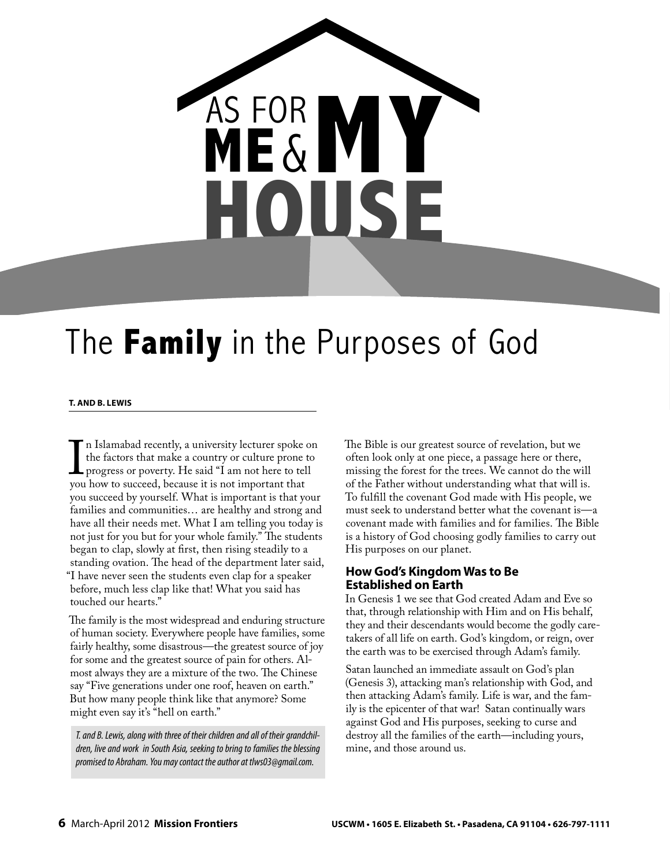

# The **Family** in the Purposes of God

#### **T. AND B. LEWIS**

 $\prod$ <sub>vou</sub> n Islamabad recently, a university lecturer spoke on the factors that make a country or culture prone to progress or poverty. He said "I am not here to tell you how to succeed, because it is not important that you succeed by yourself. What is important is that your families and communities… are healthy and strong and have all their needs met. What I am telling you today is not just for you but for your whole family." The students began to clap, slowly at first, then rising steadily to a standing ovation. The head of the department later said, "I have never seen the students even clap for a speaker before, much less clap like that! What you said has touched our hearts."

The family is the most widespread and enduring structure of human society. Everywhere people have families, some fairly healthy, some disastrous—the greatest source of joy for some and the greatest source of pain for others. Almost always they are a mixture of the two. The Chinese say "Five generations under one roof, heaven on earth." But how many people think like that anymore? Some might even say it's "hell on earth."

T. and B. Lewis, along with three of their children and all of their grandchildren, live and work in South Asia, seeking to bring to families the blessing promised to Abraham. You may contact the author at tlws03@gmail.com.

The Bible is our greatest source of revelation, but we often look only at one piece, a passage here or there, missing the forest for the trees. We cannot do the will of the Father without understanding what that will is. To fulfill the covenant God made with His people, we must seek to understand better what the covenant is—a covenant made with families and for families. The Bible is a history of God choosing godly families to carry out His purposes on our planet.

#### **How God's Kingdom Was to Be Established on Earth**

In Genesis 1 we see that God created Adam and Eve so that, through relationship with Him and on His behalf, they and their descendants would become the godly caretakers of all life on earth. God's kingdom, or reign, over the earth was to be exercised through Adam's family.

Satan launched an immediate assault on God's plan (Genesis 3), attacking man's relationship with God, and then attacking Adam's family. Life is war, and the family is the epicenter of that war! Satan continually wars against God and His purposes, seeking to curse and destroy all the families of the earth—including yours, mine, and those around us.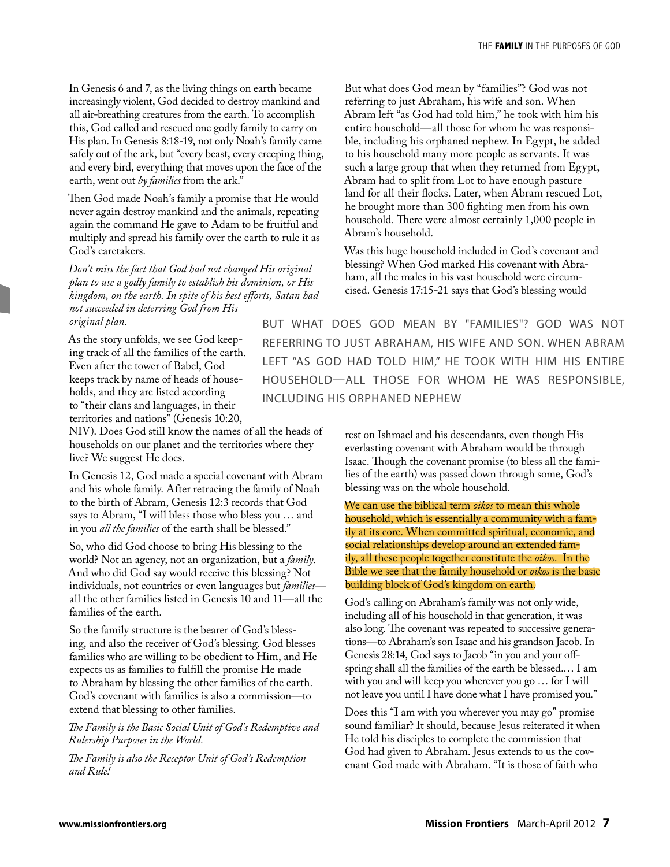In Genesis 6 and 7, as the living things on earth became increasingly violent, God decided to destroy mankind and all air-breathing creatures from the earth. To accomplish this, God called and rescued one godly family to carry on His plan. In Genesis 8:18-19, not only Noah's family came safely out of the ark, but "every beast, every creeping thing, and every bird, everything that moves upon the face of the earth, went out *by families* from the ark."

Then God made Noah's family a promise that He would never again destroy mankind and the animals, repeating again the command He gave to Adam to be fruitful and multiply and spread his family over the earth to rule it as God's caretakers.

*Don't miss the fact that God had not changed His original plan to use a godly family to establish his dominion, or His kingdom, on the earth. In spite of his best efforts, Satan had not succeeded in deterring God from His original plan.*

As the story unfolds, we see God keeping track of all the families of the earth. Even after the tower of Babel, God keeps track by name of heads of households, and they are listed according to "their clans and languages, in their territories and nations" (Genesis 10:20,

NIV). Does God still know the names of all the heads of households on our planet and the territories where they live? We suggest He does.

In Genesis 12, God made a special covenant with Abram and his whole family. After retracing the family of Noah to the birth of Abram, Genesis 12:3 records that God says to Abram, "I will bless those who bless you … and in you *all the families* of the earth shall be blessed."

So, who did God choose to bring His blessing to the world? Not an agency, not an organization, but a *family*. And who did God say would receive this blessing? Not individuals, not countries or even languages but *families* all the other families listed in Genesis 10 and 11—all the families of the earth.

So the family structure is the bearer of God's blessing, and also the receiver of God's blessing. God blesses families who are willing to be obedient to Him, and He expects us as families to fulfill the promise He made to Abraham by blessing the other families of the earth. God's covenant with families is also a commission—to extend that blessing to other families.

The Family is the Basic Social Unit of God's Redemptive and *Rulership Purposes in the World.*

The Family is also the Receptor Unit of God's Redemption *and Rule!*

But what does God mean by "families"? God was not referring to just Abraham, his wife and son. When Abram left "as God had told him," he took with him his entire household—all those for whom he was responsible, including his orphaned nephew. In Egypt, he added to his household many more people as servants. It was such a large group that when they returned from Egypt, Abram had to split from Lot to have enough pasture land for all their flocks. Later, when Abram rescued Lot, he brought more than 300 fighting men from his own household. There were almost certainly 1,000 people in Abram's household.

Was this huge household included in God's covenant and blessing? When God marked His covenant with Abraham, all the males in his vast household were circumcised. Genesis 17:15-21 says that God's blessing would

BUT WHAT DOES GOD MEAN BY "FAMILIES"? GOD WAS NOT REFERRING TO JUST ABRAHAM, HIS WIFE AND SON. WHEN ABRAM LEFT "AS GOD HAD TOLD HIM," HE TOOK WITH HIM HIS ENTIRE HOUSEHOLD-ALL THOSE FOR WHOM HE WAS RESPONSIBLE, INCLUDING HIS ORPHANED NEPHEW

> rest on Ishmael and his descendants, even though His everlasting covenant with Abraham would be through Isaac. Though the covenant promise (to bless all the families of the earth) was passed down through some, God's blessing was on the whole household.

> We can use the biblical term *oikos* to mean this whole household, which is essentially a community with a family at its core. When committed spiritual, economic, and social relationships develop around an extended family, all these people together constitute the *oikos*. In the Bible we see that the family household or *oikos* is the basic building block of God's kingdom on earth.

God's calling on Abraham's family was not only wide, including all of his household in that generation, it was also long. The covenant was repeated to successive generations—to Abraham's son Isaac and his grandson Jacob. In Genesis 28:14, God says to Jacob "in you and your offspring shall all the families of the earth be blessed.… I am with you and will keep you wherever you go … for I will not leave you until I have done what I have promised you*.*"

Does this "I am with you wherever you may go" promise sound familiar? It should, because Jesus reiterated it when He told his disciples to complete the commission that God had given to Abraham. Jesus extends to us the covenant God made with Abraham. "It is those of faith who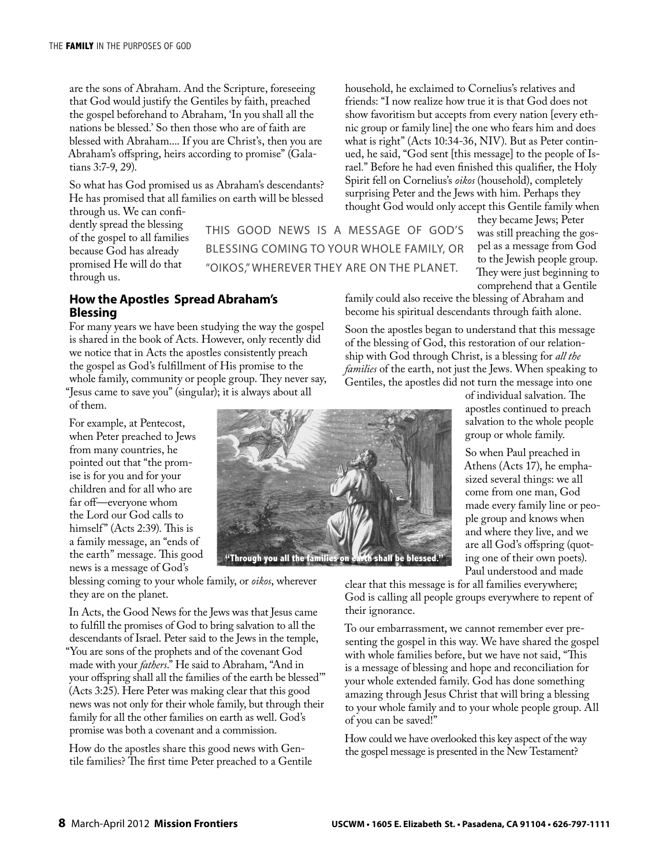are the sons of Abraham. And the Scripture, foreseeing that God would justify the Gentiles by faith, preached the gospel beforehand to Abraham, 'In you shall all the nations be blessed.' So then those who are of faith are blessed with Abraham.... If you are Christ's, then you are Abraham's offspring, heirs according to promise" (Galatians 3:7-9, 29).

So what has God promised us as Abraham's descendants? He has promised that all families on earth will be blessed through us. We can confi-

dently spread the blessing of the gospel to all families because God has already promised He will do that through us.

THIS GOOD NEWS IS A MESSAGE OF GOD'S BLESSING COMING TO YOUR WHOLE FAMILY, OR "OIKOS," WHEREVER THEY ARE ON THE PLANET.

Spirit fell on Cornelius's *oikos* (household), completely surprising Peter and the Jews with him. Perhaps they thought God would only accept this Gentile family when they became Jews; Peter was still preaching the gospel as a message from God to the Jewish people group. They were just beginning to comprehend that a Gentile

family could also receive the blessing of Abraham and become his spiritual descendants through faith alone.

household, he exclaimed to Cornelius's relatives and friends: "I now realize how true it is that God does not show favoritism but accepts from every nation [every ethnic group or family line] the one who fears him and does what is right" (Acts 10:34-36, NIV). But as Peter continued, he said, "God sent [this message] to the people of Israel." Before he had even finished this qualifier, the Holy

Soon the apostles began to understand that this message of the blessing of God, this restoration of our relationship with God through Christ, is a blessing for *all the families* of the earth, not just the Jews. When speaking to Gentiles, the apostles did not turn the message into one

> of individual salvation. The apostles continued to preach salvation to the whole people group or whole family.

So when Paul preached in Athens (Acts 17), he emphasized several things: we all come from one man, God made every family line or people group and knows when and where they live, and we are all God's offspring (quoting one of their own poets). Paul understood and made

clear that this message is for all families everywhere; God is calling all people groups everywhere to repent of their ignorance.

To our embarrassment, we cannot remember ever presenting the gospel in this way. We have shared the gospel with whole families before, but we have not said, "This is a message of blessing and hope and reconciliation for your whole extended family. God has done something amazing through Jesus Christ that will bring a blessing to your whole family and to your whole people group. All of you can be saved!"

How could we have overlooked this key aspect of the way the gospel message is presented in the New Testament?

#### **How the Apostles Spread Abraham's Blessing**

For many years we have been studying the way the gospel is shared in the book of Acts. However, only recently did we notice that in Acts the apostles consistently preach the gospel as God's fulfillment of His promise to the whole family, community or people group. They never say, "Jesus came to save you" (singular); it is always about all of them.

For example, at Pentecost, when Peter preached to Jews from many countries, he pointed out that "the promise is for you and for your children and for all who are far off-everyone whom the Lord our God calls to himself" (Acts 2:39). This is a family message, an "ends of the earth" message. This good news is a message of God's

blessing coming to your whole family, or *oikos*, wherever they are on the planet.

In Acts, the Good News for the Jews was that Jesus came to fulfill the promises of God to bring salvation to all the descendants of Israel. Peter said to the Jews in the temple, "You are sons of the prophets and of the covenant God made with your *fathers*." He said to Abraham, "And in your offspring shall all the families of the earth be blessed" (Acts 3:25). Here Peter was making clear that this good news was not only for their whole family, but through their family for all the other families on earth as well. God's promise was both a covenant and a commission.

How do the apostles share this good news with Gentile families? The first time Peter preached to a Gentile

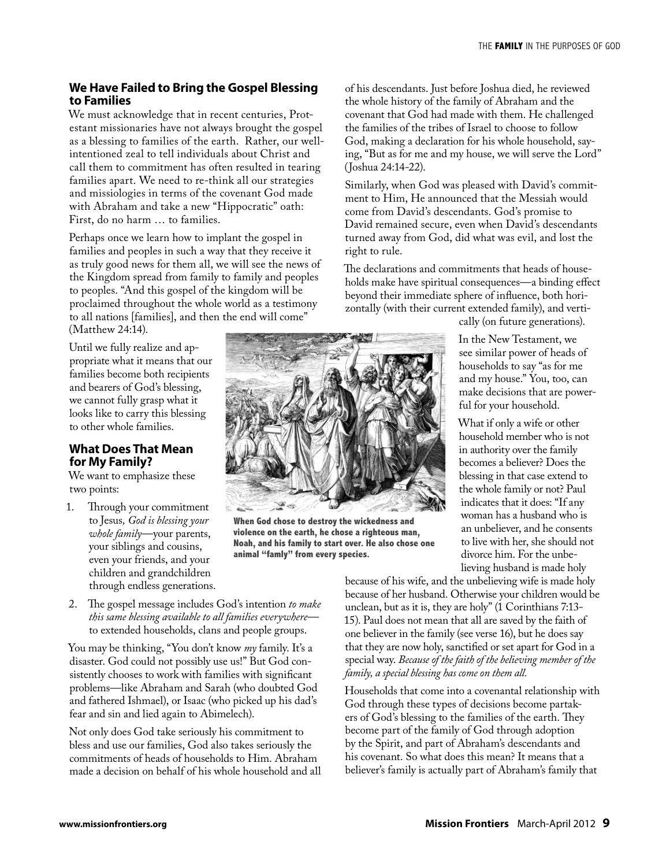## **We Have Failed to Bring the Gospel Blessing to Families**

We must acknowledge that in recent centuries, Protestant missionaries have not always brought the gospel as a blessing to families of the earth. Rather, our wellintentioned zeal to tell individuals about Christ and call them to commitment has often resulted in tearing families apart. We need to re-think all our strategies and missiologies in terms of the covenant God made with Abraham and take a new "Hippocratic" oath: First, do no harm … to families.

Perhaps once we learn how to implant the gospel in families and peoples in such a way that they receive it as truly good news for them all, we will see the news of the Kingdom spread from family to family and peoples to peoples. "And this gospel of the kingdom will be proclaimed throughout the whole world as a testimony to all nations [families], and then the end will come" (Matthew 24:14).

Until we fully realize and appropriate what it means that our families become both recipients and bearers of God's blessing, we cannot fully grasp what it looks like to carry this blessing to other whole families.

### **What Does That Mean for My Family?**

We want to emphasize these two points:

- 1. Through your commitment to Jesus*, God is blessing your whole family*—your parents, your siblings and cousins, even your friends, and your children and grandchildren through endless generations.
- 2. The gospel message includes God's intention *to make this same blessing available to all families everywhere* to extended households, clans and people groups.

You may be thinking, "You don't know *my* family. It's a disaster. God could not possibly use us!" But God consistently chooses to work with families with significant problems—like Abraham and Sarah (who doubted God and fathered Ishmael), or Isaac (who picked up his dad's fear and sin and lied again to Abimelech).

Not only does God take seriously his commitment to bless and use our families, God also takes seriously the commitments of heads of households to Him. Abraham made a decision on behalf of his whole household and all of his descendants. Just before Joshua died, he reviewed the whole history of the family of Abraham and the covenant that God had made with them. He challenged the families of the tribes of Israel to choose to follow God, making a declaration for his whole household, saying, "But as for me and my house, we will serve the Lord" (Joshua 24:14-22).

Similarly, when God was pleased with David's commitment to Him, He announced that the Messiah would come from David's descendants. God's promise to David remained secure, even when David's descendants turned away from God, did what was evil, and lost the right to rule.

The declarations and commitments that heads of households make have spiritual consequences—a binding effect beyond their immediate sphere of influence, both horizontally (with their current extended family), and verti-



**When God chose to destroy the wickedness and violence on the earth, he chose a righteous man, Noah, and his family to start over. He also chose one animal "famly" from every species.**

cally (on future generations).

In the New Testament, we see similar power of heads of households to say "as for me and my house." You, too, can make decisions that are powerful for your household.

What if only a wife or other household member who is not in authority over the family becomes a believer? Does the blessing in that case extend to the whole family or not? Paul indicates that it does: "If any woman has a husband who is an unbeliever, and he consents to live with her, she should not divorce him. For the unbelieving husband is made holy

because of his wife, and the unbelieving wife is made holy because of her husband. Otherwise your children would be unclean, but as it is, they are holy" (1 Corinthians 7:13- 15). Paul does not mean that all are saved by the faith of one believer in the family (see verse 16), but he does say that they are now holy, sanctified or set apart for God in a special way. *Because of the faith of the believing member of the family, a special blessing has come on them all.*

Households that come into a covenantal relationship with God through these types of decisions become partakers of God's blessing to the families of the earth. They become part of the family of God through adoption by the Spirit, and part of Abraham's descendants and his covenant. So what does this mean? It means that a believer's family is actually part of Abraham's family that